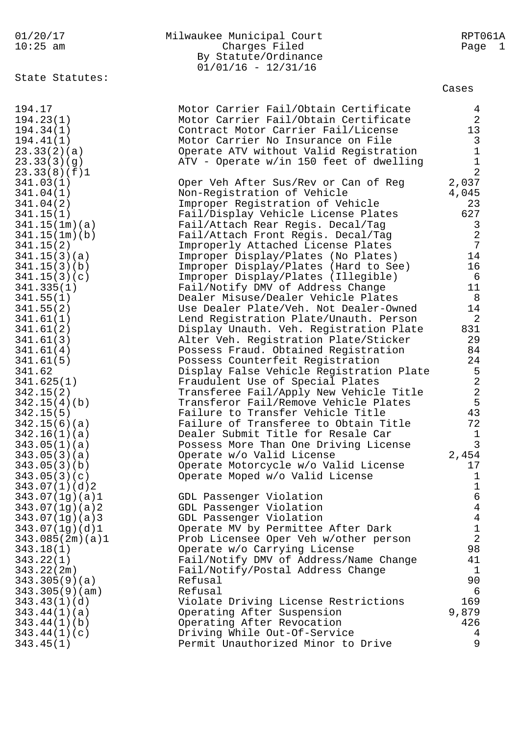## 01/20/17 Milwaukee Municipal Court RPT061A Charges Filed Page 1 By Statute/Ordinance  $01/01/16 - 12/31/16$

State Statutes:

Cases

| 194.17          | Motor Carrier Fail/Obtain Certificate    | $4\overline{ }$ |
|-----------------|------------------------------------------|-----------------|
| 194.23(1)       | Motor Carrier Fail/Obtain Certificate    | $\overline{2}$  |
| 194.34(1)       | Contract Motor Carrier Fail/License      | 13              |
| 194.41(1)       | Motor Carrier No Insurance on File       | 3               |
| 23.33(2)(a)     | Operate ATV without Valid Registration   | $\mathbf{1}$    |
| 23.33(3)(g)     | ATV - Operate w/in 150 feet of dwelling  | $\mathbf{1}$    |
| 23.33(8)(f)1    |                                          | 2               |
| 341.03(1)       | Oper Veh After Sus/Rev or Can of Reg     | 2,037           |
| 341.04(1)       | Non-Registration of Vehicle              | 4,045           |
| 341.04(2)       | Improper Registration of Vehicle         | 23              |
| 341.15(1)       | Fail/Display Vehicle License Plates      | 627             |
| 341.15(1m)(a)   | Fail/Attach Rear Regis. Decal/Tag        | $\mathsf{3}$    |
| 341.15(1m)(b)   | Fail/Attach Front Regis. Decal/Tag       | 2               |
| 341.15(2)       | Improperly Attached License Plates       | 7               |
| 341.15(3)(a)    | Improper Display/Plates (No Plates)      | 14              |
| 341.15(3)(b)    | Improper Display/Plates (Hard to See)    | 16              |
| 341.15(3)(c)    | Improper Display/Plates (Illegible)      | 6               |
| 341.335(1)      | Fail/Notify DMV of Address Change        | 11              |
| 341.55(1)       | Dealer Misuse/Dealer Vehicle Plates      | 8               |
| 341.55(2)       | Use Dealer Plate/Veh. Not Dealer-Owned   | 14              |
| 341.61(1)       | Lend Registration Plate/Unauth. Person   | 2               |
| 341.61(2)       | Display Unauth. Veh. Registration Plate  | 831             |
| 341.61(3)       | Alter Veh. Registration Plate/Sticker    | 29              |
| 341.61(4)       | Possess Fraud. Obtained Registration     | 84              |
| 341.61(5)       | Possess Counterfeit Registration         | 24              |
| 341.62          | Display False Vehicle Registration Plate | 5               |
| 341.625(1)      | Fraudulent Use of Special Plates         | 2               |
| 342.15(2)       | Transferee Fail/Apply New Vehicle Title  | $\overline{2}$  |
| 342.15(4)(b)    | Transferor Fail/Remove Vehicle Plates    | 5               |
| 342.15(5)       | Failure to Transfer Vehicle Title        | 43              |
| 342.15(6)(a)    | Failure of Transferee to Obtain Title    | 72              |
| 342.16(1)(a)    | Dealer Submit Title for Resale Car       | $\mathbf{1}$    |
| 343.05(1)(a)    | Possess More Than One Driving License    | $\mathbf{3}$    |
| 343.05(3)(a)    | Operate w/o Valid License                | 2,454           |
| 343.05(3)(b)    | Operate Motorcycle w/o Valid License     | 17              |
| 343.05(3)(c)    | Operate Moped w/o Valid License          | $\mathbf 1$     |
| 343.07(1)(d)2   |                                          | $\mathbf{1}$    |
| 343.07(1g)(a)1  | GDL Passenger Violation                  | 6               |
| 343.07(1g)(a)2  | GDL Passenger Violation                  | $\overline{4}$  |
| 343.07(1g)(a)3  | GDL Passenger Violation                  | $\overline{4}$  |
| 343.07(1g)(d)1  | Operate MV by Permittee After Dark       | $\mathbf 1$     |
| 343.085(2m)(a)1 | Prob Licensee Oper Veh w/other person    | 2               |
| 343.18(1)       | Operate w/o Carrying License             | 98              |
| 343.22(1)       | Fail/Notify DMV of Address/Name Change   | 41              |
| 343.22(2m)      | Fail/Notify/Postal Address Change        | $\mathbf{1}$    |
| 343.305(9)(a)   | Refusal                                  | 90              |
| 343.305(9)(am)  | Refusal                                  | 6               |
| 343.43(1)(d)    | Violate Driving License Restrictions     | 169             |
| 343.44(1)(a)    | Operating After Suspension               | 9,879           |
| 343.44(1)(b)    | Operating After Revocation               | 426             |
| 343.44(1)(c)    | Driving While Out-Of-Service             | 4               |
| 343.45(1)       | Permit Unauthorized Minor to Drive       | 9               |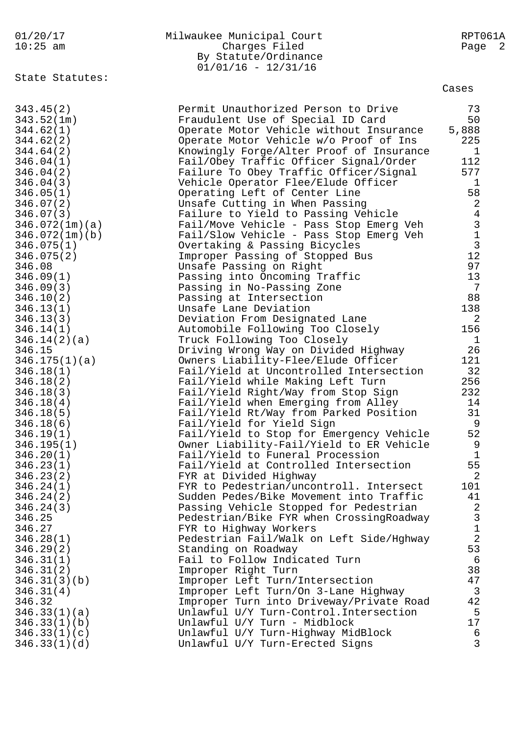| 01/20/1 |  |  |  |
|---------|--|--|--|
| 10・つち   |  |  |  |

| 01/20/17   | Milwaukee Municipal Court | RPT061A |
|------------|---------------------------|---------|
| $10:25$ am | Charges Filed             | Page 2  |
|            | By Statute/Ordinance      |         |
|            | $01/01/16 - 12/31/16$     |         |

State Statutes:

Cases

| 343.45(2)      | Permit Unauthorized Person to Drive      | 73             |
|----------------|------------------------------------------|----------------|
| 343.52(1m)     | Fraudulent Use of Special ID Card        | 50             |
| 344.62(1)      | Operate Motor Vehicle without Insurance  | 5,888          |
| 344.62(2)      | Operate Motor Vehicle w/o Proof of Ins   | 225            |
|                |                                          |                |
| 344.64(2)      | Knowingly Forge/Alter Proof of Insurance | $\mathbf{1}$   |
| 346.04(1)      | Fail/Obey Traffic Officer Signal/Order   | 112            |
| 346.04(2)      | Failure To Obey Traffic Officer/Signal   | 577            |
| 346.04(3)      | Vehicle Operator Flee/Elude Officer      | $\mathbf{1}$   |
| 346.05(1)      | Operating Left of Center Line            | 58             |
| 346.07(2)      | Unsafe Cutting in When Passing           | 2              |
| 346.07(3)      | Failure to Yield to Passing Vehicle      | $\overline{4}$ |
| 346.072(1m)(a) | Fail/Move Vehicle - Pass Stop Emerg Veh  | $\mathbf{3}$   |
|                |                                          | $\mathbf{1}$   |
| 346.072(1m)(b) | Fail/Slow Vehicle - Pass Stop Emerg Veh  |                |
| 346.075(1)     | Overtaking & Passing Bicycles            | $\overline{3}$ |
| 346.075(2)     | Improper Passing of Stopped Bus          | 12             |
| 346.08         | Unsafe Passing on Right                  | 97             |
| 346.09(1)      | Passing into Oncoming Traffic            | 13             |
| 346.09(3)      | Passing in No-Passing Zone               | 7              |
| 346.10(2)      | Passing at Intersection                  | 88             |
| 346.13(1)      | Unsafe Lane Deviation                    | 138            |
| 346.13(3)      | Deviation From Designated Lane           | 2              |
| 346.14(1)      |                                          | 156            |
|                | Automobile Following Too Closely         |                |
| 346.14(2)(a)   | Truck Following Too Closely              | $\mathbf{1}$   |
| 346.15         | Driving Wrong Way on Divided Highway     | 26             |
| 346.175(1)(a)  | Owners Liability-Flee/Elude Officer      | 121            |
| 346.18(1)      | Fail/Yield at Uncontrolled Intersection  | 32             |
| 346.18(2)      | Fail/Yield while Making Left Turn        | 256            |
| 346.18(3)      | Fail/Yield Right/Way from Stop Sign      | 232            |
| 346.18(4)      | Fail/Yield when Emerging from Alley      | 14             |
| 346.18(5)      | Fail/Yield Rt/Way from Parked Position   | 31             |
| 346.18(6)      | Fail/Yield for Yield Sign                | 9              |
| 346.19(1)      | Fail/Yield to Stop for Emergency Vehicle | 52             |
|                |                                          | 9              |
| 346.195(1)     | Owner Liability-Fail/Yield to ER Vehicle |                |
| 346.20(1)      | Fail/Yield to Funeral Procession         | $\mathbf{1}$   |
| 346.23(1)      | Fail/Yield at Controlled Intersection    | 55             |
| 346.23(2)      | FYR at Divided Highway                   | 2              |
| 346.24(1)      | FYR to Pedestrian/uncontroll. Intersect  | 101            |
| 346.24(2)      | Sudden Pedes/Bike Movement into Traffic  | 41             |
| 346.24(3)      | Passing Vehicle Stopped for Pedestrian   | 2              |
| 346.25         | Pedestrian/Bike FYR when CrossingRoadway | $\mathfrak{Z}$ |
| 346.27         | FYR to Highway Workers                   | $1\,$          |
| 346.28(1)      | Pedestrian Fail/Walk on Left Side/Hghway | $\overline{2}$ |
| 346.29(2)      |                                          | 53             |
|                | Standing on Roadway                      |                |
| 346.31(1)      | Fail to Follow Indicated Turn            | 6              |
| 346.31(2)      | Improper Right Turn                      | 38             |
| 346.31(3)(b)   | Improper Left Turn/Intersection          | 47             |
| 346.31(4)      | Improper Left Turn/On 3-Lane Highway     | $\mathbf{3}$   |
| 346.32         | Improper Turn into Driveway/Private Road | 42             |
| 346.33(1)(a)   | Unlawful U/Y Turn-Control. Intersection  | 5              |
| 346.33(1)(b)   | Unlawful U/Y Turn - Midblock             | 17             |
| 346.33(1)(c)   | Unlawful U/Y Turn-Highway MidBlock       | 6              |
| 346.33(1)(d)   | Unlawful U/Y Turn-Erected Signs          | 3              |
|                |                                          |                |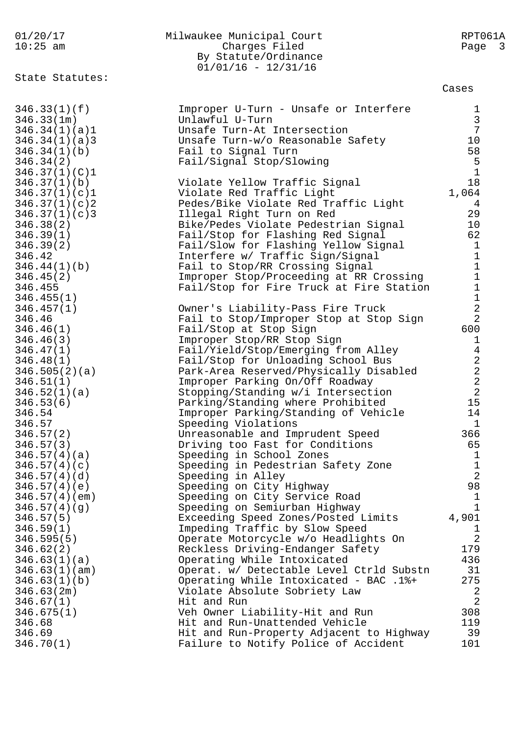| 01/20/17                       | Milwaukee Municipal Court                                | RPT061A             |
|--------------------------------|----------------------------------------------------------|---------------------|
| $10:25$ am                     | Charges Filed                                            | Page 3              |
|                                | By Statute/Ordinance                                     |                     |
|                                | $01/01/16 - 12/31/16$                                    |                     |
| State Statutes:                |                                                          |                     |
|                                |                                                          | Cases               |
|                                |                                                          |                     |
| 346.33(1)(f)                   | Improper U-Turn - Unsafe or Interfere<br>Unlawful U-Turn | 1<br>$\mathfrak{Z}$ |
| 346.33(1m)                     | Unsafe Turn-At Intersection                              | $7\phantom{.0}$     |
| 346.34(1)(a)1<br>346.34(1)(a)3 | Unsafe Turn-w/o Reasonable Safety                        | 10                  |
| 346.34(1)(b)                   | Fail to Signal Turn                                      | 58                  |
| 346.34(2)                      | Fail/Signal Stop/Slowing                                 | 5                   |
| 346.37(1)(C)1                  |                                                          | $\mathbf{1}$        |
| 346.37(1)(b)                   | Violate Yellow Traffic Signal                            | 18                  |
| 346.37(1)(c)1                  | Violate Red Traffic Light                                | 1,064               |
| 346.37(1)(c)2                  | Pedes/Bike Violate Red Traffic Light                     | 4                   |
| 346.37(1)(c)3                  | Illegal Right Turn on Red                                | 29                  |
| 346.38(2)                      | Bike/Pedes Violate Pedestrian Signal                     | 10                  |
| 346.39(1)                      | Fail/Stop for Flashing Red Signal                        | 62                  |
| 346.39(2)                      | Fail/Slow for Flashing Yellow Signal                     | $\mathbf{1}$        |
| 346.42                         | Interfere w/ Traffic Sign/Signal                         | $\mathbf{1}$        |
| 346.44(1)(b)                   | Fail to Stop/RR Crossing Signal                          | $1\,$               |
| 346.45(2)                      | Improper Stop/Proceeding at RR Crossing                  | $\mathbf 1$         |
| 346.455                        | Fail/Stop for Fire Truck at Fire Station                 | $\mathbf 1$         |
| 346.455(1)                     |                                                          | $\mathbf 1$         |
| 346.457(1)                     | Owner's Liability-Pass Fire Truck                        | $\sqrt{2}$          |
| 346.46                         | Fail to Stop/Improper Stop at Stop Sign                  | $\overline{2}$      |
| 346.46(1)                      | Fail/Stop at Stop Sign                                   | 600                 |
| 346.46(3)                      | Improper Stop/RR Stop Sign                               | $\mathbf{1}$        |
| 346.47(1)                      | Fail/Yield/Stop/Emerging from Alley                      | $\overline{4}$      |
| 346.48(1)                      | Fail/Stop for Unloading School Bus                       | $\sqrt{2}$          |
| 346.505(2)(a)                  | Park-Area Reserved/Physically Disabled                   | $\sqrt{2}$          |
| 346.51(1)                      | Improper Parking On/Off Roadway                          | $\sqrt{2}$          |
| 346.52(1)(a)                   | Stopping/Standing w/i Intersection                       | $\overline{2}$      |
| 346.53(6)                      | Parking/Standing where Prohibited                        | 15                  |
| 346.54                         | Improper Parking/Standing of Vehicle                     | 14                  |
| 346.57                         | Speeding Violations                                      | $1\,$               |
| 346.57(2)                      | Unreasonable and Imprudent Speed                         | 366                 |
| 346.57(3)                      | Driving too Fast for Conditions                          | 65                  |
| 346.57(4)(a)                   | Speeding in School Zones                                 | $\mathbf{1}$        |
| 346.57(4)(c)                   | Speeding in Pedestrian Safety Zone                       | $\mathbf 1$         |
| 346.57(4)(d)                   | Speeding in Alley                                        | $\overline{2}$      |
| 346.57(4)(e)                   | Speeding on City Highway                                 | 98                  |
| 346.57(4)(em)                  | Speeding on City Service Road                            | $\mathbf{1}$        |
| 346.57(4)(g)                   | Speeding on Semiurban Highway                            | $\mathbf{1}$        |
| 346.57(5)                      | Exceeding Speed Zones/Posted Limits                      | 4,901               |
| 346.59(1)                      | Impeding Traffic by Slow Speed                           | 1                   |
| 346.595(5)                     | Operate Motorcycle w/o Headlights On                     | $\overline{2}$      |
| 346.62(2)                      | Reckless Driving-Endanger Safety                         | 179                 |
| 346.63(1)(a)                   | Operating While Intoxicated                              | 436                 |
| 346.63(1)(am)                  | Operat. w/ Detectable Level Ctrld Substn                 | 31                  |
| 346.63(1)(b)                   | Operating While Intoxicated - BAC .1%+                   | 275                 |
| 346.63(2m)                     | Violate Absolute Sobriety Law                            | 2                   |
| 346.67(1)                      | Hit and Run                                              | $\overline{2}$      |
| 346.675(1)                     | Veh Owner Liability-Hit and Run                          | 308                 |
| 346.68                         | Hit and Run-Unattended Vehicle                           | 119                 |
| 346.69                         | Hit and Run-Property Adjacent to Highway                 | 39                  |
| 346.70(1)                      | Failure to Notify Police of Accident                     | 101                 |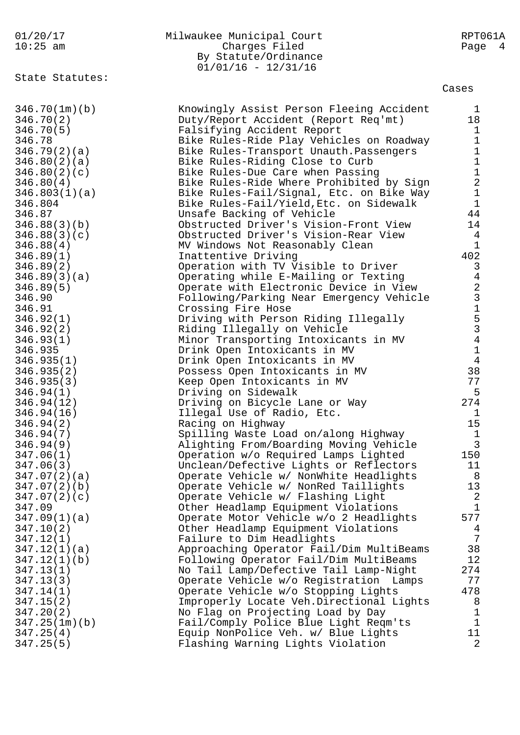| 01/20/17<br>$10:25$ am                                        | Milwaukee Municipal Court<br>Charges Filed<br>By Statute/Ordinance<br>$01/01/16 - 12/31/16$                                                                                              | RPT061A<br>Page<br>$\overline{4}$           |
|---------------------------------------------------------------|------------------------------------------------------------------------------------------------------------------------------------------------------------------------------------------|---------------------------------------------|
| State Statutes:                                               |                                                                                                                                                                                          | Cases                                       |
| 346.70(1m)(b)                                                 | Knowingly Assist Person Fleeing Accident                                                                                                                                                 | 1                                           |
| 346.70(2)                                                     | Duty/Report Accident (Report Req'mt)                                                                                                                                                     | 18                                          |
| 346.70(5)                                                     | Falsifying Accident Report                                                                                                                                                               | $\mathbf 1$                                 |
| 346.78                                                        | Bike Rules-Ride Play Vehicles on Roadway                                                                                                                                                 | $1\,$                                       |
| 346.79(2)(a)                                                  | Bike Rules-Transport Unauth. Passengers                                                                                                                                                  | $\mathbf{1}$                                |
| 346.80(2)(a)<br>346.80(2)(c)<br>346.80(4)<br>346.803(1)(a)    | Bike Rules-Riding Close to Curb<br>Bike Rules-Due Care when Passing<br>Bike Rules-Ride Where Prohibited by Sign<br>Bike Rules-Fail/Signal, Etc. on Bike Way                              | $\mathbf 1$<br>$\frac{1}{2}$<br>$\mathbf 1$ |
| 346.804                                                       | Bike Rules-Fail/Yield, Etc. on Sidewalk                                                                                                                                                  | $\mathbf{1}$                                |
| 346.87                                                        | Unsafe Backing of Vehicle                                                                                                                                                                | 44                                          |
| 346.88(3)(b)                                                  | Obstructed Driver's Vision-Front View                                                                                                                                                    | 14                                          |
| 346.88(3)(c)                                                  | Obstructed Driver's Vision-Rear View                                                                                                                                                     | 4                                           |
| 346.88(4)                                                     | MV Windows Not Reasonably Clean                                                                                                                                                          | $\mathbf{1}$                                |
| 346.89(1)<br>346.89(2)<br>346.89(3)(a)<br>346.89(5)<br>346.90 | Inattentive Driving<br>Operation with TV Visible to Driver<br>Operating while E-Mailing or Texting<br>Operate with Electronic Device in View<br>Following/Parking Near Emergency Vehicle | 402<br>3                                    |
| 346.91<br>346.92(1)<br>346.92(2)<br>346.93(1)<br>346.935      | Crossing Fire Hose<br>Driving with Person Riding Illegally<br>Riding Illegally on Vehicle<br>Minor Transporting Intoxicants in MV<br>Drink Open Intoxicants in MV                        | 423153414                                   |
| 346.935(1)<br>346.935(2)<br>346.935(3)<br>346.94(1)           | Drink Open Intoxicants in MV<br>Possess Open Intoxicants in MV<br>Keep Open Intoxicants in MV<br>Driving on Sidewalk                                                                     | 38<br>77<br>5                               |
| 346.94(12)                                                    | Driving on Bicycle Lane or Way                                                                                                                                                           | 274                                         |
| 346.94(16)                                                    | Illegal Use of Radio, Etc.                                                                                                                                                               | 1                                           |
| 346.94(2)                                                     | Racing on Highway                                                                                                                                                                        | 15                                          |
| 346.94(7)                                                     | Spilling Waste Load on/along Highway                                                                                                                                                     | 1                                           |
| 346.94(9)                                                     | Alighting From/Boarding Moving Vehicle                                                                                                                                                   | $\mathfrak{Z}$                              |
| 347.06(1)                                                     | Operation w/o Required Lamps Lighted                                                                                                                                                     | 150                                         |
| 347.06(3)                                                     | Unclean/Defective Lights or Reflectors                                                                                                                                                   | 11                                          |
| 347.07(2)(a)                                                  | Operate Vehicle w/ NonWhite Headlights                                                                                                                                                   | 8                                           |
| 347.07(2)(b)                                                  | Operate Vehicle w/ NonRed Taillights                                                                                                                                                     | 13                                          |
| 347.07(2)(c)                                                  | Operate Vehicle w/ Flashing Light                                                                                                                                                        | $\sqrt{2}$                                  |
| 347.09                                                        | Other Headlamp Equipment Violations                                                                                                                                                      | $\mathbf 1$                                 |
| 347.09(1)(a)                                                  | Operate Motor Vehicle w/o 2 Headlights                                                                                                                                                   | 577                                         |
| 347.10(2)                                                     | Other Headlamp Equipment Violations                                                                                                                                                      | 4                                           |
| 347.12(1)                                                     | Failure to Dim Headlights                                                                                                                                                                | 7                                           |
| 347.12(1)(a)                                                  | Approaching Operator Fail/Dim MultiBeams                                                                                                                                                 | 38                                          |
| 347.12(1)(b)                                                  | Following Operator Fail/Dim MultiBeams                                                                                                                                                   | 12                                          |
| 347.13(1)                                                     | No Tail Lamp/Defective Tail Lamp-Night                                                                                                                                                   | 274                                         |
| 347.13(3)                                                     | Operate Vehicle w/o Registration Lamps                                                                                                                                                   | 77                                          |
| 347.14(1)                                                     | Operate Vehicle w/o Stopping Lights                                                                                                                                                      | 478                                         |
| 347.15(2)                                                     | Improperly Locate Veh. Directional Lights                                                                                                                                                | 8                                           |
| 347.20(2)                                                     | No Flag on Projecting Load by Day                                                                                                                                                        | 1                                           |
| 347.25(1m)(b)                                                 | Fail/Comply Police Blue Light Reqm'ts                                                                                                                                                    | $\mathbf{1}$                                |
| 347.25(4)                                                     | Equip NonPolice Veh. w/ Blue Lights                                                                                                                                                      | 11                                          |
| 347.25(5)                                                     | Flashing Warning Lights Violation                                                                                                                                                        | 2                                           |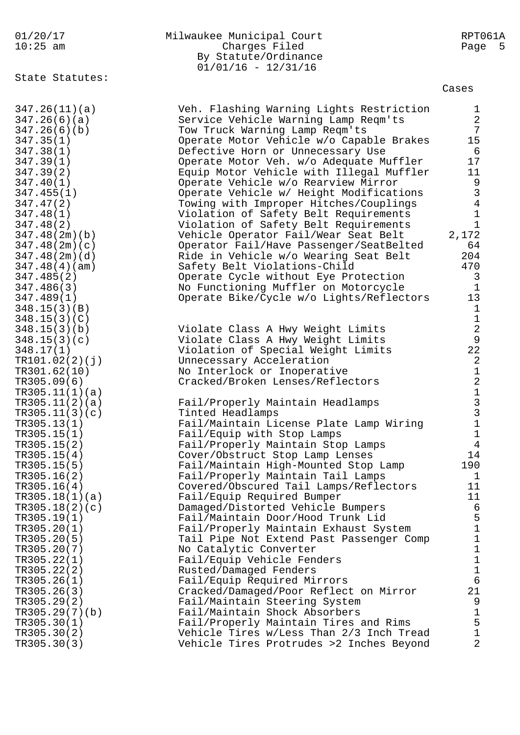01/20/17 Milwaukee Municipal Court RPT061A 10:25 am Charges Filed Page 5 By Statute/Ordinance 01/01/16 - 12/31/16 State Statutes: Cases 347.26(11)(a) Veh. Flashing Warning Lights Restriction 1 347.26(6)(a) Service Vehicle Warning Lamp Reqm'ts 2 347.26(6)(b) Tow Truck Warning Lamp Reqm'ts 7 347.35(1) Operate Motor Vehicle w/o Capable Brakes 15 347.38(1) Defective Horn or Unnecessary Use 6 347.39(1) Operate Motor Veh. w/o Adequate Muffler 17 347.39(2) Equip Motor Vehicle with Illegal Muffler 11 347.40(1) Operate Vehicle w/o Rearview Mirror 9 347.455(1) Operate Vehicle w/ Height Modifications 3 347.47(2) Towing with Improper Hitches/Couplings 4 347.48(1) Violation of Safety Belt Requirements 1 347.48(2) Violation of Safety Belt Requirements 1 347.48(2m)(b) Vehicle Operator Fail/Wear Seat Belt 2,172 347.48(2m)(c) Operator Fail/Have Passenger/SeatBelted 64 347.48(2m)(d) Ride in Vehicle w/o Wearing Seat Belt 204 347.48(4)(am) Safety Belt Violations-Child 470 347.485(2) Operate Cycle without Eye Protection 3 347.486(3) No Functioning Muffler on Motorcycle 1 347.489(1) Operate Bike/Cycle w/o Lights/Reflectors 13  $348.15(3)(B)$  1  $348.15(3)(C)$  1 348.15(3)(b) Violate Class A Hwy Weight Limits 2 348.15(3)(c) Violate Class A Hwy Weight Limits 9 348.17(1) Violation of Special Weight Limits 22 TR101.02(2)(j) Unnecessary Acceleration 2 TR301.62(10) No Interlock or Inoperative 1 TR305.09(6) Cracked/Broken Lenses/Reflectors 2  $TR305.11(1)(a)$  1 TR305.11(2)(a) Fail/Properly Maintain Headlamps 3 TR305.11(3)(c) Tinted Headlamps 3 TR305.13(1) Fail/Maintain License Plate Lamp Wiring 1 TR305.15(1) Fail/Equip with Stop Lamps 1 TR305.15(2) Fail/Properly Maintain Stop Lamps 4 TR305.15(4) Cover/Obstruct Stop Lamp Lenses 14 TR305.15(5) Fail/Maintain High-Mounted Stop Lamp 190 TR305.16(2) Fail/Properly Maintain Tail Lamps 1 TR305.16(4) Covered/Obscured Tail Lamps/Reflectors 11 TR305.18(1)(a) Fail/Equip Required Bumper 11 TR305.18(2)(c) Damaged/Distorted Vehicle Bumpers 6 TR305.19(1) Fail/Maintain Door/Hood Trunk Lid 5 TR305.20(1) Fail/Properly Maintain Exhaust System 1 TR305.20(5) Tail Pipe Not Extend Past Passenger Comp 1 TR305.20(7) No Catalytic Converter 1 TR305.22(1) Fail/Equip Vehicle Fenders 1 TR305.22(2) Rusted/Damaged Fenders 1 TR305.26(1) Fail/Equip Required Mirrors 6 TR305.26(3) Cracked/Damaged/Poor Reflect on Mirror 21 TR305.29(2) Fail/Maintain Steering System 9 TR305.29(7)(b) Fail/Maintain Shock Absorbers 1 TR305.30(1) Fail/Properly Maintain Tires and Rims 5 TR305.30(2) Vehicle Tires w/Less Than 2/3 Inch Tread 1 TR305.30(3) Vehicle Tires Protrudes >2 Inches Beyond 2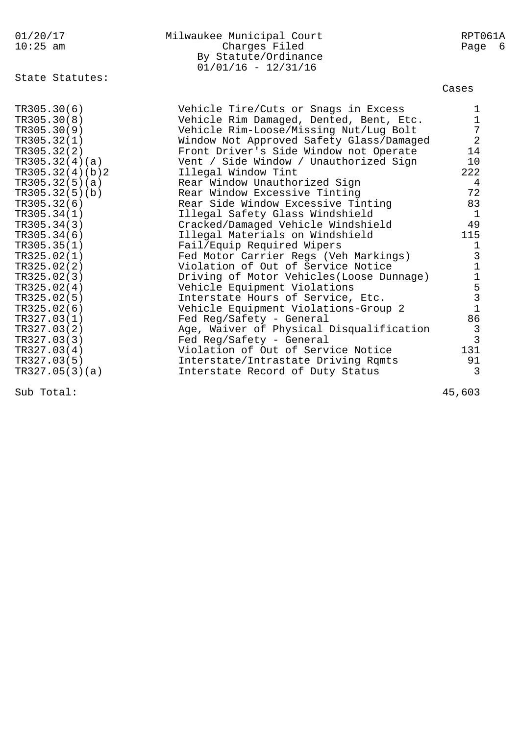| 01/20/17        | Milwaukee Municipal Court                                      | RPT061A        |
|-----------------|----------------------------------------------------------------|----------------|
| $10:25$ am      | Charges Filed<br>By Statute/Ordinance<br>$01/01/16 - 12/31/16$ | Page 6         |
| State Statutes: |                                                                | Cases          |
| TR305.30(6)     | Vehicle Tire/Cuts or Snags in Excess                           | $\mathbf{1}$   |
| TR305.30(8)     | Vehicle Rim Damaged, Dented, Bent, Etc.                        | $\mathbf{1}$   |
| TR305.30(9)     | Vehicle Rim-Loose/Missing Nut/Lug Bolt                         | $\sqrt{ }$     |
| TR305.32(1)     | Window Not Approved Safety Glass/Damaged                       | $\overline{2}$ |
| TR305.32(2)     | Front Driver's Side Window not Operate                         | 14             |
| TR305.32(4)(a)  | Vent / Side Window / Unauthorized Sign                         | 10             |
| TR305.32(4)(b)2 | Illegal Window Tint                                            | 222            |
| TR305.32(5)(a)  | Rear Window Unauthorized Sign                                  | $\overline{4}$ |
| TR305.32(5)(b)  | Rear Window Excessive Tinting                                  | 72             |
| TR305.32(6)     | Rear Side Window Excessive Tinting                             | 83             |
| TR305.34(1)     | Illegal Safety Glass Windshield                                | $\mathbf{1}$   |
| TR305.34(3)     | Cracked/Damaged Vehicle Windshield                             | 49             |
| TR305.34(6)     | Illegal Materials on Windshield                                | 115            |
| TR305.35(1)     | Fail/Equip Required Wipers                                     | $\mathbf{1}$   |
| TR325.02(1)     | Fed Motor Carrier Regs (Veh Markings)                          |                |
| TR325.02(2)     | Violation of Out of Service Notice                             |                |
| TR325.02(3)     | Driving of Motor Vehicles (Loose Dunnage)                      | 311531         |
| TR325.02(4)     | Vehicle Equipment Violations                                   |                |
| TR325.02(5)     | Interstate Hours of Service, Etc.                              |                |
| TR325.02(6)     | Vehicle Equipment Violations-Group 2                           |                |
| TR327.03(1)     | Fed Reg/Safety - General                                       | 86             |
| TR327.03(2)     | Age, Waiver of Physical Disqualification                       | $\mathbf{3}$   |
| TR327.03(3)     | Fed Reg/Safety - General                                       | $\overline{3}$ |
| TR327.03(4)     | Violation of Out of Service Notice                             | 131            |
| TR327.03(5)     | Interstate/Intrastate Driving Rqmts                            | 91             |
| TR327.05(3)(a)  | Interstate Record of Duty Status                               | 3              |

Sub Total: 45,603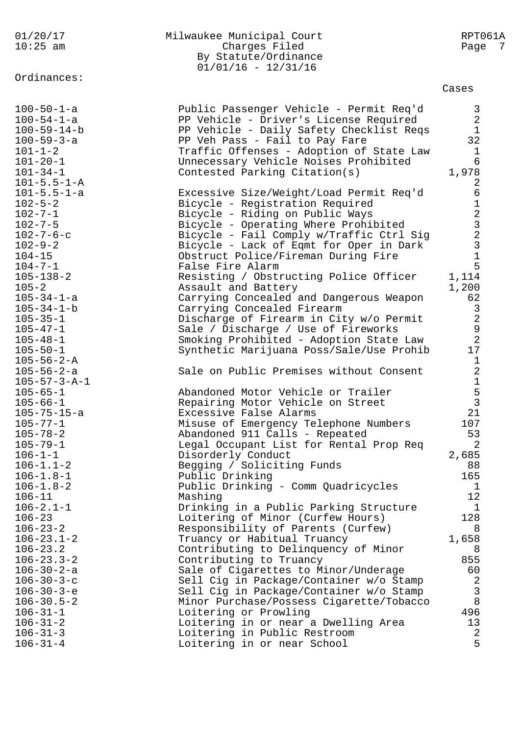| 01/20/17<br>$10:25$ am                                                                                                                                                                                                                                                | Milwaukee Municipal Court<br>Charges Filed<br>By Statute/Ordinance<br>$01/01/16 - 12/31/16$                                                                                                                                                                                                                                                                                                                                                                                                                                   | RPT061A<br>Page<br>7                                                                                                     |
|-----------------------------------------------------------------------------------------------------------------------------------------------------------------------------------------------------------------------------------------------------------------------|-------------------------------------------------------------------------------------------------------------------------------------------------------------------------------------------------------------------------------------------------------------------------------------------------------------------------------------------------------------------------------------------------------------------------------------------------------------------------------------------------------------------------------|--------------------------------------------------------------------------------------------------------------------------|
| Ordinances:                                                                                                                                                                                                                                                           |                                                                                                                                                                                                                                                                                                                                                                                                                                                                                                                               | Cases                                                                                                                    |
| $100 - 50 - 1 - a$<br>$100 - 54 - 1 - a$<br>$100 - 59 - 14 - b$<br>$100 - 59 - 3 - a$<br>$101 - 1 - 2$<br>$101 - 20 - 1$<br>$101 - 34 - 1$<br>$101 - 5.5 - 1 - A$                                                                                                     | Public Passenger Vehicle - Permit Req'd<br>PP Vehicle - Driver's License Required<br>PP Vehicle - Daily Safety Checklist Reqs<br>PP Veh Pass - Fail to Pay Fare<br>Traffic Offenses - Adoption of State Law<br>Unnecessary Vehicle Noises Prohibited<br>Contested Parking Citation(s)                                                                                                                                                                                                                                         | 3<br>$\overline{2}$<br>$\mathbf{1}$<br>32<br>1<br>6<br>1,978<br>2                                                        |
| $101 - 5.5 - 1 - a$<br>$102 - 5 - 2$<br>$102 - 7 - 1$<br>$102 - 7 - 5$<br>$102 - 7 - 6 - c$<br>$102 - 9 - 2$<br>$104 - 15$<br>$104 - 7 - 1$                                                                                                                           | Excessive Size/Weight/Load Permit Req'd<br>Bicycle - Registration Required<br>Bicycle - Riding on Public Ways<br>Bicycle - Operating Where Prohibited<br>Bicycle - Fail Comply w/Traffic Ctrl Sig<br>Bicycle - Lack of Eqmt for Oper in Dark<br>Obstruct Police/Fireman During Fire<br>False Fire Alarm                                                                                                                                                                                                                       | 6<br>$\mathbf 1$<br>$\sqrt{2}$<br>$\frac{1}{2}$<br>$\mathsf{3}$<br>$\mathbf{1}$<br>5                                     |
| $105 - 138 - 2$<br>$105 - 2$<br>$105 - 34 - 1 - a$<br>$105 - 34 - 1 - b$<br>$105 - 35 - 1$<br>$105 - 47 - 1$<br>$105 - 48 - 1$<br>$105 - 50 - 1$<br>$105 - 56 - 2 - A$                                                                                                | Resisting / Obstructing Police Officer<br>Assault and Battery<br>Carrying Concealed and Dangerous Weapon<br>Carrying Concealed Firearm<br>Discharge of Firearm in City w/o Permit<br>Sale / Discharge / Use of Fireworks<br>Smoking Prohibited - Adoption State Law<br>Synthetic Marijuana Poss/Sale/Use Prohib                                                                                                                                                                                                               | 1,114<br>1,200<br>62<br>$\mathsf{3}$<br>$\overline{2}$<br>$\frac{9}{2}$<br>17<br>$\mathbf 1$                             |
| $105 - 56 - 2 - a$<br>$105 - 57 - 3 - A - 1$<br>$105 - 65 - 1$<br>$105 - 66 - 1$<br>$105 - 75 - 15 - a$<br>$105 - 77 - 1$<br>$105 - 78 - 2$<br>$105 - 79 - 1$<br>$106 - 1 - 1$<br>$106 - 1.1 - 2$<br>$106 - 1.8 - 1$<br>$106 - 1.8 - 2$<br>$106 - 11$                 | Sale on Public Premises without Consent<br>Abandoned Motor Vehicle or Trailer<br>Repairing Motor Vehicle on Street<br>Excessive False Alarms<br>Misuse of Emergency Telephone Numbers<br>Abandoned 911 Calls - Repeated<br>Legal Occupant List for Rental Prop Req<br>Disorderly Conduct<br>Begging / Soliciting Funds<br>Public Drinking<br>Public Drinking - Comm Quadricycles<br>Mashing                                                                                                                                   | $\sqrt{2}$<br>$\mathbf 1$<br>5<br>$\overline{3}$<br>21<br>107<br>53<br>$\overline{2}$<br>2,685<br>88<br>165<br>1<br>12   |
| $106 - 2.1 - 1$<br>$106 - 23$<br>$106 - 23 - 2$<br>$106 - 23.1 - 2$<br>$106 - 23.2$<br>$106 - 23.3 - 2$<br>$106 - 30 - 2 - a$<br>$106 - 30 - 3 - c$<br>$106 - 30 - 3 - e$<br>$106 - 30.5 - 2$<br>$106 - 31 - 1$<br>$106 - 31 - 2$<br>$106 - 31 - 3$<br>$106 - 31 - 4$ | Drinking in a Public Parking Structure<br>Loitering of Minor (Curfew Hours)<br>Responsibility of Parents (Curfew)<br>Truancy or Habitual Truancy<br>Contributing to Delinquency of Minor<br>Contributing to Truancy<br>Sale of Cigarettes to Minor/Underage<br>Sell Cig in Package/Container w/o Stamp<br>Sell Cig in Package/Container w/o Stamp<br>Minor Purchase/Possess Cigarette/Tobacco<br>Loitering or Prowling<br>Loitering in or near a Dwelling Area<br>Loitering in Public Restroom<br>Loitering in or near School | $\mathbf{1}$<br>128<br>8<br>1,658<br>8<br>855<br>60<br>$\mathbf{2}$<br>$\mathbf{3}$<br>8<br>496<br>13<br>$\sqrt{2}$<br>5 |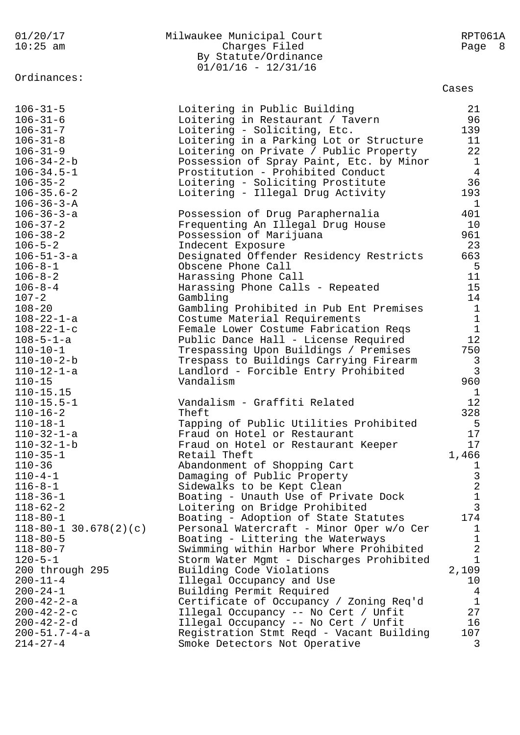| $10:25$ am                           | Charges Filed                            | Page 8         |  |
|--------------------------------------|------------------------------------------|----------------|--|
|                                      | By Statute/Ordinance                     |                |  |
|                                      | $01/01/16 - 12/31/16$                    |                |  |
| Ordinances:                          |                                          |                |  |
|                                      |                                          | Cases          |  |
| $106 - 31 - 5$                       | Loitering in Public Building             | 21             |  |
| $106 - 31 - 6$                       | Loitering in Restaurant / Tavern         | 96             |  |
| $106 - 31 - 7$                       | Loitering - Soliciting, Etc.             | 139            |  |
| $106 - 31 - 8$                       | Loitering in a Parking Lot or Structure  | 11             |  |
| $106 - 31 - 9$                       | Loitering on Private / Public Property   | 22             |  |
| $106 - 34 - 2 - b$                   | Possession of Spray Paint, Etc. by Minor | $\mathbf{1}$   |  |
| $106 - 34.5 - 1$                     | Prostitution - Prohibited Conduct        | $\overline{4}$ |  |
| $106 - 35 - 2$                       | Loitering - Soliciting Prostitute        | 36             |  |
| $106 - 35.6 - 2$                     | Loitering - Illegal Drug Activity        | 193            |  |
| $106 - 36 - 3 - A$                   |                                          | $\mathbf{1}$   |  |
|                                      |                                          | 401            |  |
| $106 - 36 - 3 - a$<br>$106 - 37 - 2$ | Possession of Drug Paraphernalia         | 10             |  |
|                                      | Frequenting An Illegal Drug House        |                |  |
| $106 - 38 - 2$                       | Possession of Marijuana                  | 961            |  |
| $106 - 5 - 2$                        | Indecent Exposure                        | 23             |  |
| $106 - 51 - 3 - a$                   | Designated Offender Residency Restricts  | 663            |  |
| $106 - 8 - 1$                        | Obscene Phone Call                       | 5              |  |
| $106 - 8 - 2$                        | Harassing Phone Call                     | 11             |  |
| $106 - 8 - 4$                        | Harassing Phone Calls - Repeated         | 15             |  |
| $107 - 2$                            | Gambling                                 | 14             |  |
| $108 - 20$                           | Gambling Prohibited in Pub Ent Premises  | $\mathbf{1}$   |  |
| $108 - 22 - 1 - a$                   | Costume Material Requirements            | $\mathbf{1}$   |  |
| $108 - 22 - 1 - c$                   | Female Lower Costume Fabrication Reqs    | $\mathbf{1}$   |  |
| $108 - 5 - 1 - a$                    | Public Dance Hall - License Required     | 12             |  |
| $110 - 10 - 1$                       | Trespassing Upon Buildings / Premises    | 750            |  |
| $110 - 10 - 2 - b$                   | Trespass to Buildings Carrying Firearm   | $\overline{3}$ |  |
| $110 - 12 - 1 - a$                   | Landlord - Forcible Entry Prohibited     | $\overline{3}$ |  |
| $110 - 15$                           | Vandalism                                | 960            |  |
| $110 - 15.15$                        |                                          | $\mathbf{1}$   |  |
| $110 - 15.5 - 1$                     | Vandalism - Graffiti Related             | 12             |  |
| $110 - 16 - 2$                       | Theft                                    | 328            |  |
| $110 - 18 - 1$                       | Tapping of Public Utilities Prohibited   | 5              |  |
| $110 - 32 - 1 - a$                   | Fraud on Hotel or Restaurant             | 17             |  |
| $110 - 32 - 1 - b$                   | Fraud on Hotel or Restaurant Keeper      | 17             |  |
| $110 - 35 - 1$                       | Retail Theft                             | 1,466          |  |
| $110 - 36$                           | Abandonment of Shopping Cart             | $\mathbf{1}$   |  |
| $110 - 4 - 1$                        | Damaging of Public Property              | $\mathsf 3$    |  |
| $116 - 8 - 1$                        | Sidewalks to be Kept Clean               | $\sqrt{2}$     |  |
| $118 - 36 - 1$                       | Boating - Unauth Use of Private Dock     | $\mathbf 1$    |  |
| $118 - 62 - 2$                       | Loitering on Bridge Prohibited           | 3              |  |
| $118 - 80 - 1$                       | Boating - Adoption of State Statutes     | 174            |  |
| $118 - 80 - 1$ 30.678(2)(c)          | Personal Watercraft - Minor Oper w/o Cer | $\mathbf 1$    |  |
| $118 - 80 - 5$                       | Boating - Littering the Waterways        | $1\,$          |  |
| $118 - 80 - 7$                       | Swimming within Harbor Where Prohibited  | $\sqrt{2}$     |  |
| $120 - 5 - 1$                        | Storm Water Mgmt - Discharges Prohibited | $\mathbf{1}$   |  |
| 200 through 295                      | Building Code Violations                 | 2,109          |  |
| $200 - 11 - 4$                       | Illegal Occupancy and Use                | 10             |  |
| $200 - 24 - 1$                       | Building Permit Required                 | 4              |  |
| $200 - 42 - 2 - a$                   | Certificate of Occupancy / Zoning Req'd  | $\mathbf{1}$   |  |
| $200 - 42 - 2 - c$                   | Illegal Occupancy -- No Cert / Unfit     | 27             |  |
| $200 - 42 - 2 - d$                   | Illegal Occupancy -- No Cert / Unfit     | 16             |  |
| $200 - 51.7 - 4 - a$                 | Registration Stmt Reqd - Vacant Building | 107            |  |
| $214 - 27 - 4$                       | Smoke Detectors Not Operative            | 3              |  |
|                                      |                                          |                |  |

01/20/17 Milwaukee Municipal Court RPT061A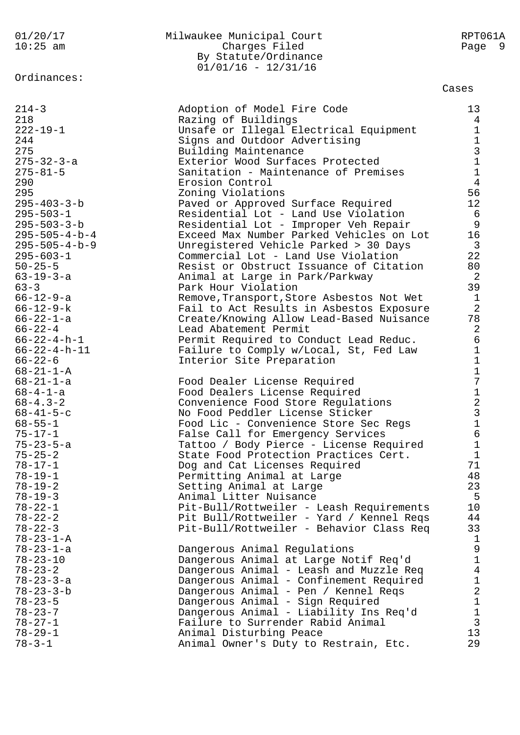| 01/20/17    | Milwaukee Municipal Court | RPT061A |
|-------------|---------------------------|---------|
| $10:25$ am  | Charges Filed             | Page 9  |
|             | By Statute/Ordinance      |         |
|             | $01/01/16 - 12/31/16$     |         |
| Ordinances: |                           |         |
|             |                           | Cases   |
|             |                           |         |

| $214 - 3$               | Adoption of Model Fire Code               | 13                                              |
|-------------------------|-------------------------------------------|-------------------------------------------------|
| 218                     | Razing of Buildings                       | $\overline{4}$                                  |
| $222 - 19 - 1$          | Unsafe or Illegal Electrical Equipment    | $\mathbf 1$                                     |
| 244                     | Signs and Outdoor Advertising             |                                                 |
| 275                     | Building Maintenance                      |                                                 |
| $275 - 32 - 3 - a$      | Exterior Wood Surfaces Protected          | $\begin{array}{c} 1 \\ 3 \\ 1 \end{array}$      |
| $275 - 81 - 5$          | Sanitation - Maintenance of Premises      |                                                 |
| 290                     | Erosion Control                           | $\overline{4}$                                  |
| 295                     | Zoning Violations                         | 56                                              |
| $295 - 403 - 3 - b$     | Paved or Approved Surface Required        | 12                                              |
| $295 - 503 - 1$         | Residential Lot - Land Use Violation      | 6                                               |
| $295 - 503 - 3 - b$     | Residential Lot - Improper Veh Repair     | 9                                               |
| $295 - 505 - 4 - b - 4$ | Exceed Max Number Parked Vehicles on Lot  | 16                                              |
| $295 - 505 - 4 - b - 9$ | Unregistered Vehicle Parked > 30 Days     | $\overline{3}$                                  |
| $295 - 603 - 1$         | Commercial Lot - Land Use Violation       | 22                                              |
| $50 - 25 - 5$           | Resist or Obstruct Issuance of Citation   | 80                                              |
| $63 - 19 - 3 - a$       | Animal at Large in Park/Parkway           | $\overline{2}$                                  |
| $63 - 3$                | Park Hour Violation                       | 39                                              |
| $66 - 12 - 9 - a$       | Remove, Transport, Store Asbestos Not Wet | $\mathbf{1}$                                    |
| $66 - 12 - 9 - k$       | Fail to Act Results in Asbestos Exposure  | $\overline{2}$                                  |
| $66 - 22 - 1 - a$       | Create/Knowing Allow Lead-Based Nuisance  | 78                                              |
| $66 - 22 - 4$           | Lead Abatement Permit                     | $\overline{2}$                                  |
| $66 - 22 - 4 - h - 1$   | Permit Required to Conduct Lead Reduc.    | $\epsilon$                                      |
| $66 - 22 - 4 - h - 11$  | Failure to Comply w/Local, St, Fed Law    | $\mathbf 1$                                     |
| $66 - 22 - 6$           | Interior Site Preparation                 | $\mathbf 1$                                     |
| $68 - 21 - 1 - A$       |                                           |                                                 |
| $68 - 21 - 1 - a$       | Food Dealer License Required              | $\frac{1}{7}$                                   |
| $68 - 4 - 1 - a$        | Food Dealers License Required             |                                                 |
| $68 - 4.3 - 2$          | Convenience Food Store Regulations        | 123161                                          |
| $68 - 41 - 5 - c$       | No Food Peddler License Sticker           |                                                 |
| $68 - 55 - 1$           | Food Lic - Convenience Store Sec Regs     |                                                 |
| $75 - 17 - 1$           | False Call for Emergency Services         |                                                 |
| $75 - 23 - 5 - a$       | Tattoo / Body Pierce - License Required   |                                                 |
| $75 - 25 - 2$           | State Food Protection Practices Cert.     | $\mathbf 1$                                     |
| $78 - 17 - 1$           | Dog and Cat Licenses Required             | 71                                              |
| $78 - 19 - 1$           | Permitting Animal at Large                | 48                                              |
| $78 - 19 - 2$           | Setting Animal at Large                   | 23                                              |
| $78 - 19 - 3$           | Animal Litter Nuisance                    | 5                                               |
| $78 - 22 - 1$           | Pit-Bull/Rottweiler - Leash Requirements  | 10                                              |
| $78 - 22 - 2$           | Pit Bull/Rottweiler - Yard / Kennel Reqs  | 44                                              |
| $78 - 22 - 3$           | Pit-Bull/Rottweiler - Behavior Class Req  | 33                                              |
| $78 - 23 - 1 - A$       |                                           | $\mathbf{1}$                                    |
| $78 - 23 - 1 - a$       | Dangerous Animal Regulations              | $\mathsf 9$                                     |
| $78 - 23 - 10$          | Dangerous Animal at Large Notif Req'd     | $\mathbf 1$                                     |
| $78 - 23 - 2$           | Dangerous Animal - Leash and Muzzle Reg   | $\overline{4}$                                  |
| $78 - 23 - 3 - a$       | Dangerous Animal - Confinement Required   |                                                 |
| $78 - 23 - 3 - b$       | Dangerous Animal - Pen / Kennel Reqs      |                                                 |
| $78 - 23 - 5$           | Dangerous Animal - Sign Required          | $\begin{array}{c} 1 \\ 2 \\ 1 \\ 1 \end{array}$ |
| $78 - 23 - 7$           | Dangerous Animal - Liability Ins Req'd    |                                                 |
| $78 - 27 - 1$           | Failure to Surrender Rabid Animal         | $\overline{3}$                                  |
| $78 - 29 - 1$           | Animal Disturbing Peace                   | 13                                              |
| $78 - 3 - 1$            | Animal Owner's Duty to Restrain, Etc.     | 29                                              |
|                         |                                           |                                                 |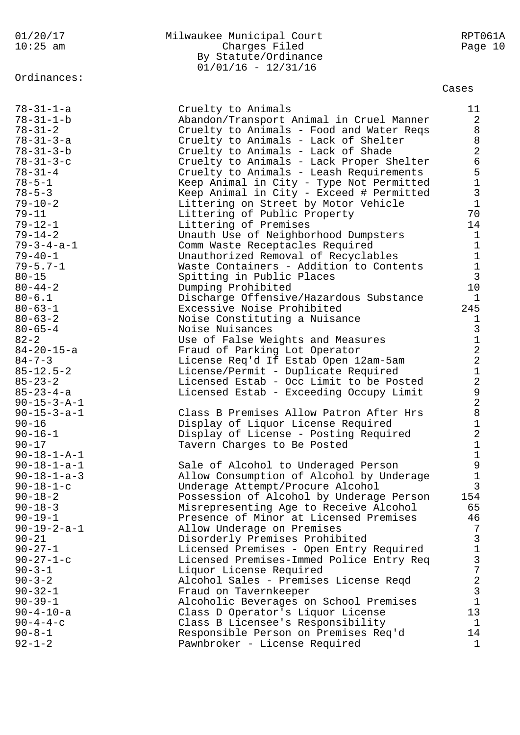Ordinances:

## 01/20/17 Milwaukee Municipal Court RPT061A Charges Filed By Statute/Ordinance  $01/01/16 - 12/31/16$

## Cases

| $78 - 31 - 1 - a$     | Cruelty to Animals                       | 11             |
|-----------------------|------------------------------------------|----------------|
| $78 - 31 - 1 - b$     | Abandon/Transport Animal in Cruel Manner | $\overline{a}$ |
|                       |                                          |                |
| $78 - 31 - 2$         | Cruelty to Animals - Food and Water Regs | 8              |
| $78 - 31 - 3 - a$     | Cruelty to Animals - Lack of Shelter     | 8              |
| $78 - 31 - 3 - b$     | Cruelty to Animals - Lack of Shade       | $\overline{2}$ |
| $78 - 31 - 3 - c$     | Cruelty to Animals - Lack Proper Shelter | 6              |
| $78 - 31 - 4$         | Cruelty to Animals - Leash Requirements  | 5              |
| $78 - 5 - 1$          | Keep Animal in City - Type Not Permitted | $\mathbf{1}$   |
|                       | Keep Animal in City - Exceed # Permitted | 3              |
| $78 - 5 - 3$          |                                          |                |
| $79 - 10 - 2$         | Littering on Street by Motor Vehicle     | $\mathbf{1}$   |
| $79 - 11$             | Littering of Public Property             | 70             |
| $79 - 12 - 1$         | Littering of Premises                    | 14             |
| $79 - 14 - 2$         | Unauth Use of Neighborhood Dumpsters     | $\mathbf{1}$   |
| $79 - 3 - 4 - a - 1$  | Comm Waste Receptacles Required          | $\mathbf{1}$   |
| $79 - 40 - 1$         | Unauthorized Removal of Recyclables      | $\mathbf{1}$   |
| $79 - 5.7 - 1$        | Waste Containers - Addition to Contents  |                |
| $80 - 15$             | Spitting in Public Places                | $\frac{1}{3}$  |
|                       |                                          | 10             |
| $80 - 44 - 2$         | Dumping Prohibited                       |                |
| $80 - 6.1$            | Discharge Offensive/Hazardous Substance  | $\mathbf 1$    |
| $80 - 63 - 1$         | Excessive Noise Prohibited               | 245            |
| $80 - 63 - 2$         | Noise Constituting a Nuisance            | 1              |
| $80 - 65 - 4$         | Noise Nuisances                          | $\overline{3}$ |
| $82 - 2$              | Use of False Weights and Measures        | $\mathbf{1}$   |
| $84 - 20 - 15 - a$    | Fraud of Parking Lot Operator            | $\overline{a}$ |
| $84 - 7 - 3$          | License Req'd If Estab Open 12am-5am     | $\overline{a}$ |
| $85 - 12.5 - 2$       | License/Permit - Duplicate Required      | $\mathbf{1}$   |
| $85 - 23 - 2$         | Licensed Estab - Occ Limit to be Posted  | $\overline{a}$ |
|                       |                                          |                |
| $85 - 23 - 4 - a$     | Licensed Estab - Exceeding Occupy Limit  | 9              |
| $90 - 15 - 3 - A - 1$ |                                          | $\overline{a}$ |
| $90 - 15 - 3 - a - 1$ | Class B Premises Allow Patron After Hrs  | 8              |
| $90 - 16$             | Display of Liquor License Required       | $\mathbf{1}$   |
| $90 - 16 - 1$         | Display of License - Posting Required    | $\overline{a}$ |
| $90 - 17$             | Tavern Charges to Be Posted              | $\mathbf{1}$   |
| $90 - 18 - 1 - A - 1$ |                                          |                |
| $90 - 18 - 1 - a - 1$ | Sale of Alcohol to Underaged Person      | $\frac{1}{9}$  |
| $90 - 18 - 1 - a - 3$ | Allow Consumption of Alcohol by Underage | 1              |
| $90 - 18 - 1 - c$     | Underage Attempt/Procure Alcohol         | ς              |
|                       |                                          |                |
| $90 - 18 - 2$         | Possession of Alcohol by Underage Person | 154            |
| $90 - 18 - 3$         | Misrepresenting Age to Receive Alcohol   | 65             |
| $90 - 19 - 1$         | Presence of Minor at Licensed Premises   | 46             |
| $90 - 19 - 2 - a - 1$ | Allow Underage on Premises               | 7              |
| $90 - 21$             | Disorderly Premises Prohibited           | 3              |
| $90 - 27 - 1$         | Licensed Premises - Open Entry Required  | 1              |
| $90 - 27 - 1 - c$     | Licensed Premises-Immed Police Entry Req | 3              |
| $90 - 3 - 1$          | Liquor License Required                  | 7              |
| $90 - 3 - 2$          | Alcohol Sales - Premises License Reqd    | $\overline{c}$ |
| $90 - 32 - 1$         | Fraud on Tavernkeeper                    | 3              |
| $90 - 39 - 1$         |                                          | $\mathbf{1}$   |
|                       | Alcoholic Beverages on School Premises   |                |
| $90 - 4 - 10 - a$     | Class D Operator's Liquor License        | 13             |
| $90 - 4 - 4 - c$      | Class B Licensee's Responsibility        | 1              |
| $90 - 8 - 1$          | Responsible Person on Premises Req'd     | 14             |
| $92 - 1 - 2$          | Pawnbroker - License Required            | 1              |
|                       |                                          |                |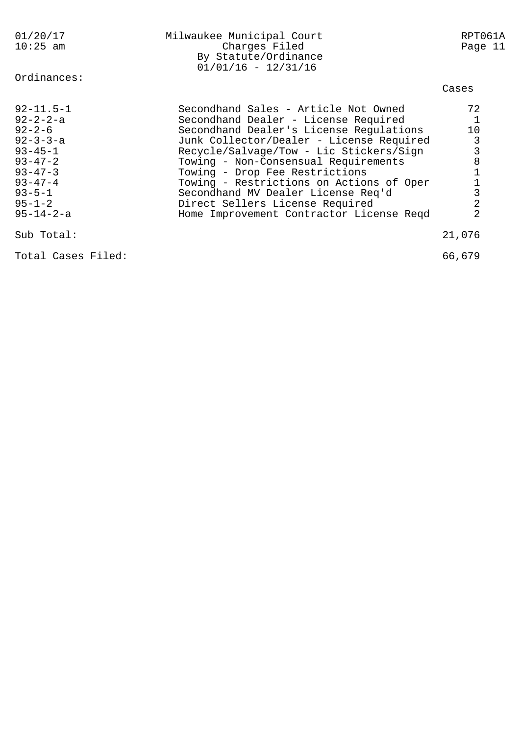| 01/20/17<br>$10:25$ am                                                                                                                                                      | Milwaukee Municipal Court<br>Charges Filed<br>By Statute/Ordinance<br>$01/01/16 - 12/31/16$                                                                                                                                                                                                                                                                                                                   | RPT061A<br>Page 11                |
|-----------------------------------------------------------------------------------------------------------------------------------------------------------------------------|---------------------------------------------------------------------------------------------------------------------------------------------------------------------------------------------------------------------------------------------------------------------------------------------------------------------------------------------------------------------------------------------------------------|-----------------------------------|
| Ordinances:                                                                                                                                                                 |                                                                                                                                                                                                                                                                                                                                                                                                               | Cases                             |
| $92 - 11.5 - 1$<br>$92 - 2 - 2 - a$<br>$92 - 2 - 6$<br>$92 - 3 - 3 - a$<br>$93 - 45 - 1$<br>$93 - 47 - 2$<br>$93 - 47 - 3$<br>$93 - 47 - 4$<br>$93 - 5 - 1$<br>$95 - 1 - 2$ | Secondhand Sales - Article Not Owned<br>Secondhand Dealer - License Required<br>Secondhand Dealer's License Regulations<br>Junk Collector/Dealer - License Required<br>Recycle/Salvage/Tow - Lic Stickers/Sign<br>Towing - Non-Consensual Requirements<br>Towing - Drop Fee Restrictions<br>Towing - Restrictions on Actions of Oper<br>Secondhand MV Dealer License Req'd<br>Direct Sellers License Required | 72<br>10<br>3<br>3<br>8<br>3<br>2 |
| $95 - 14 - 2 - a$                                                                                                                                                           | Home Improvement Contractor License Reqd                                                                                                                                                                                                                                                                                                                                                                      | 2                                 |
| Sub Total:                                                                                                                                                                  |                                                                                                                                                                                                                                                                                                                                                                                                               | 21,076                            |

Total Cases Filed: 66,679